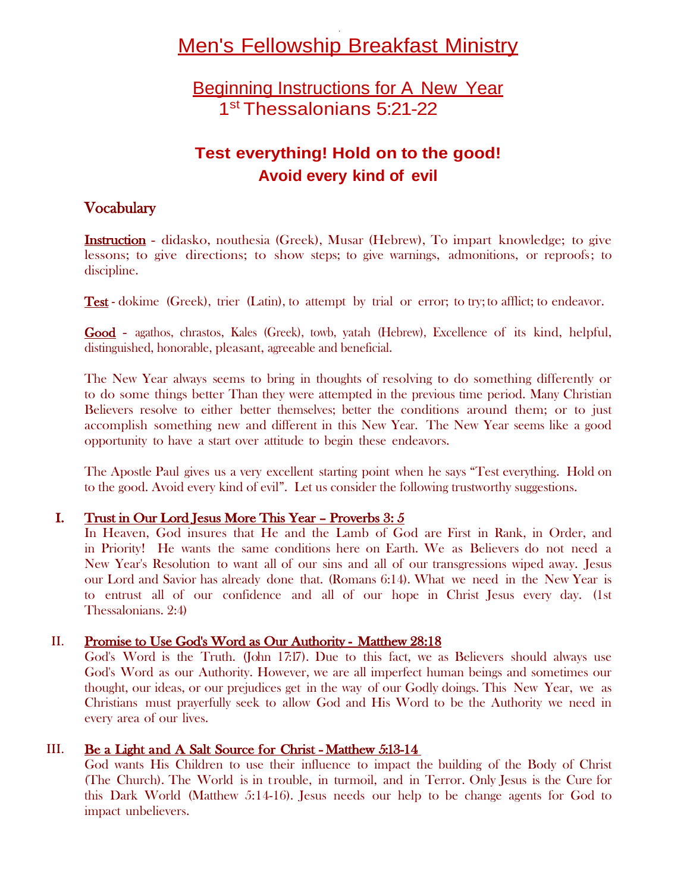# Men's Fellowship Breakfast Ministry

.

## **Beginning Instructions for A New Year** 1<sup>st</sup> Thessalonians 5:21-22

# **Test everything! Hold on to the good! Avoid every kind of evil**

### Vocabulary

 Instruction - didasko, nouthesia (Greek), Musar (Hebrew), To impart knowledge; to give lessons; to give directions; to show steps; to give warnings, admonitions, or reproofs; to discipline.

Test - dokime (Greek), trier (Latin), to attempt by trial or error; to try; to afflict; to endeavor.

Good - agathos, chrastos, Kales (Greek), towb, yatah (Hebrew), Excellence of its kind, helpful, distinguished, honorable, pleasant, agreeable and beneficial.

The New Year always seems to bring in thoughts of resolving to do something differently or to do some things better Than they were attempted in the previous time period. Many Christian Believers resolve to either better themselves; better the conditions around them; or to just accomplish something new and different in this New Year. The New Year seems like a good opportunity to have a start over attitude to begin these endeavors.

The Apostle Paul gives us a very excellent starting point when he says "Test everything. Hold on to the good. Avoid every kind of evil". Let us consider the following trustworthy suggestions.

#### I. Trust in Our Lord Jesus More This Year – Proverbs 3: 5

In Heaven, God insures that He and the Lamb of God are First in Rank, in Order, and in Priority! He wants the same conditions here on Earth. We as Believers do not need a New Year's Resolution to want all of our sins and all of our transgressions wiped away. Jesus our Lord and Savior has already done that. (Romans 6:14). What we need in the New Year is to entrust all of our confidence and all of our hope in Christ Jesus every day. (1st Thessalonians. 2:4)

#### II. Promise to Use God's Word as Our Authority - Matthew 28:18

God's Word is the Truth. (John 17:17). Due to this fact, we as Believers should always use God's Word as our Authority. However, we are all imperfect human beings and sometimes our thought, our ideas, or our prejudices get in the way of our Godly doings. This New Year, we as Christians must prayerfully seek to allow God and His Word to be the Authority we need in every area of our lives.

#### III. Be a Light and A Salt Source for Christ - Matthew 5:13-14

God wants His Children to use their influence to impact the building of the Body of Christ (The Church). The World is in trouble, in turmoil, and in Terror. Only Jesus is the Cure for this Dark World (Matthew 5:14-16). Jesus needs our help to be change agents for God to impact unbelievers.